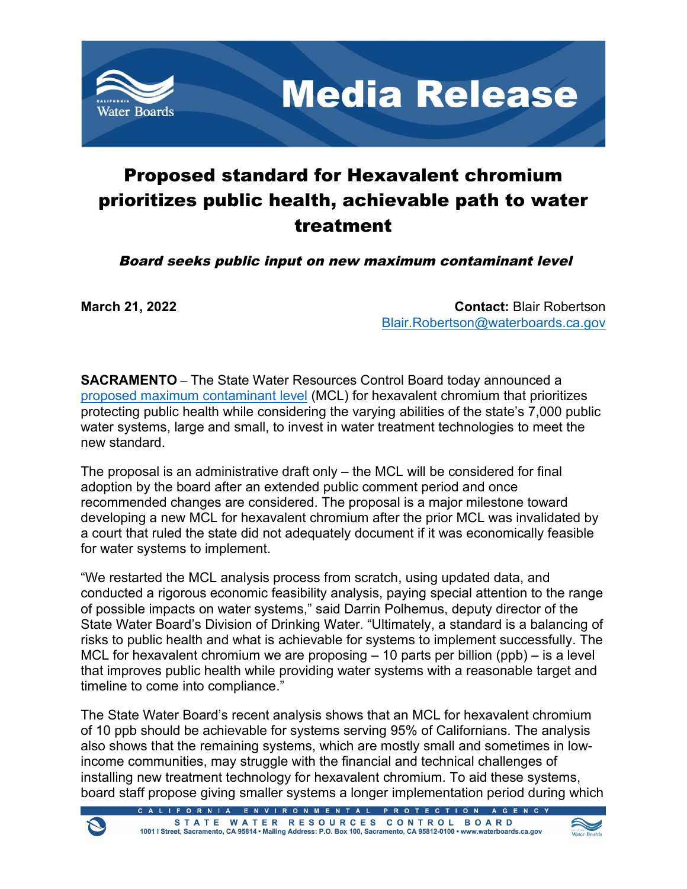

**Media Release** 

## Proposed standard for Hexavalent chromium prioritizes public health, achievable path to water treatment

Board seeks public input on new maximum contaminant level

**March 21, 2022 Contact:** Blair Robertson [Blair.Robertson@waterboards.ca.gov](mailto:Blair.Robertson@waterboards.ca.gov)

**SACRAMENTO** – The State Water Resources Control Board today announced a [proposed maximum contaminant level](https://www.waterboards.ca.gov/drinking_water/certlic/drinkingwater/Chromium6.html) (MCL) for hexavalent chromium that prioritizes protecting public health while considering the varying abilities of the state's 7,000 public water systems, large and small, to invest in water treatment technologies to meet the new standard.

The proposal is an administrative draft only – the MCL will be considered for final adoption by the board after an extended public comment period and once recommended changes are considered. The proposal is a major milestone toward developing a new MCL for hexavalent chromium after the prior MCL was invalidated by a court that ruled the state did not adequately document if it was economically feasible for water systems to implement.

"We restarted the MCL analysis process from scratch, using updated data, and conducted a rigorous economic feasibility analysis, paying special attention to the range of possible impacts on water systems," said Darrin Polhemus, deputy director of the State Water Board's Division of Drinking Water. "Ultimately, a standard is a balancing of risks to public health and what is achievable for systems to implement successfully. The MCL for hexavalent chromium we are proposing  $-10$  parts per billion (ppb)  $-$  is a level that improves public health while providing water systems with a reasonable target and timeline to come into compliance."

The State Water Board's recent analysis shows that an MCL for hexavalent chromium of 10 ppb should be achievable for systems serving 95% of Californians. The analysis also shows that the remaining systems, which are mostly small and sometimes in lowincome communities, may struggle with the financial and technical challenges of installing new treatment technology for hexavalent chromium. To aid these systems, board staff propose giving smaller systems a longer implementation period during which



ENVIRONMENTAL PROTECT STATE WATER RESOURCES CONTROL BOARD 1001 | Street, Sacramento, CA 95814 · Mailing Address: P.O. Box 100, Sacramento, CA 95812-0100 · www.waterboards.ca.gov